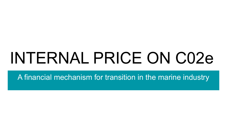# INTERNAL PRICE ON C02e

A financial mechanism for transition in the marine industry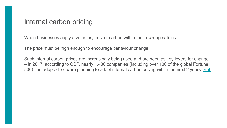#### Internal carbon pricing

When businesses apply a voluntary cost of carbon within their own operations

The price must be high enough to encourage behaviour change

Such internal carbon prices are increasingly being used and are seen as key levers for change – in 2017, according to CDP, nearly 1,400 companies (including over 100 of the global Fortune 500) had adopted, or were planning to adopt internal carbon pricing within the next 2 years. [Ref.](https://brc.org.uk/climate-roadmap/section-4-pathway-1-placing-greenhouse-gas-data-at-the-core-of-business-decisions/414-internal-carbon-pricing/)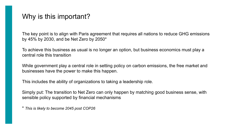### Why is this important?

The key point is to align with Paris agreement that requires all nations to reduce GHG emissions by 45% by 2030, and be Net Zero by 2050\*

To achieve this business as usual is no longer an option, but business economics must play a central role this transition

While government play a central role in setting policy on carbon emissions, the free market and businesses have the power to make this happen.

This includes the ability of organizations to taking a leadership role.

Simply put: The transition to Net Zero can only happen by matching good business sense, with sensible policy supported by financial mechanisms

\* *This is likely to become 2045 post COP26*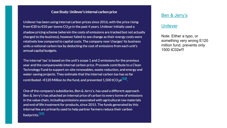#### Case Study: Unilever's internal carbon price

Unilever has been using internal carbon prices since 2016, with the price rising from  $\epsilon$ 30 to  $\epsilon$ 50 per tonne CO<sub>2</sub>e in the past 4 years. Unilever initially used a shadow pricing scheme (wherein the costs of emissions are tracked but not actually charged to the business), however failed to see change as their energy costs were relatively low compared to capital costs. The company now 'charges' its business units a notional carbon tax by deducting the cost of emissions from each unit's annual capital budgets.

The internal 'tax' is based on the unit's scope 1 and 2 emissions for the previous year and the companywide internal carbon price. Proceeds contribute to a Clean Technology Fund to support on-site renewables, waste reduction, and energy and water-saving projects. They estimate that the internal carbon tax has so far contributed ~€120 Million to the fund, and prevented 1,500 tCO<sub>2</sub>e<sup>[18]</sup>.

One of the company's subsidiaries, Ben & Jerry's, has used a different approach. Ben & Jerry's has attached an internal price of carbon to every tonne of emissions in the value chain, including emissions associated with agricultural raw materials and end of life treatment for products, since 2015. The funds generated by this internal fee are primarily used to help partner farmers reduce their carbon footprints.<sup>[19]</sup>

#### [Ben & Jerry's](https://www.greenbiz.com/article/will-ben-jerrys-carbon-price-help-moove-markets)

#### **[Unilever](https://www.unilever.com/news/news-and-features/Feature-article/2018/explainer-what-is-carbon-pricing-and-why-is-it-important.html)**

Note: Either a typo, or something very wrong E120 million fund, prevents only 1500 tC02e!!!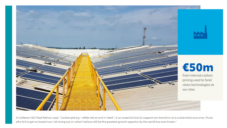

## €50m

from internal carbon pricing used to fund clean technologies at our sites

As Unilever CEO Paul Polman says: "Carbon pricing - while not an end in itself - is an essential tool to support our transition to a sustainable economy. Those who fail to get on board now risk losing out on what I believe will be the greatest growth opportunity the world has ever known."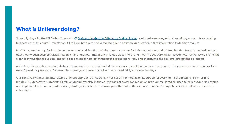#### **What is Unilever doing?**

Since aligning with the UN Global Compact's & Business Leadership Criteria on Carbon Pricing, we have been using a shadow pricing approach: evaluating business cases for capital projects over €1 million, both with and without a price on carbon, and providing that information to decision makers.

In 2016, we went a step further. We began internally pricing the emissions from our manufacturing operations and subtracting that from the capital budgets allocated to each business division at the start of the year. That money instead goes into a fund - worth about €50 million a year now - which we use to install clean technologies at our sites. The divisions can bid for projects that meet our emissions-reducing criteria and the best projects get the go-ahead.

Aside from the benefits mentioned above, there has been an unintended consequence: by getting teams to run exercises, they uncover new technology they weren't previously aware of. For example, a new type of biomass boiler or advanced refrigeration technology.

Our Ben & Jerry's business has taken a different approach. Since 2015, It has set an internal fee on its carbon for every tonne of emissions, from farm to landfill. This generates more than \$1 million annually which, in the early stages of its carbon reduction programme, is mainly used to help its farmers develop and implement carbon footprint-reducing strategies. The fee is at a lower price than what Unilever uses, but Ben & Jerry's has extended it across the whole value chain.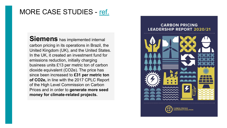### MORE CASE STUDIES - [ref.](https://static1.squarespace.com/static/54ff9c5ce4b0a53decccfb4c/t/60ba4a7d2f4d4b6e0ace36c4/1622821505499/CPLC%2BReport%2B2021_Final.pdf)

**Siemens** has implemented internal carbon pricing in its operations in Brazil, the United Kingdom (UK), and the United States. In the UK, it created an investment fund for emissions reduction, initially charging business units £13 per metric ton of carbon dioxide equivalent (CO2e). The price has since been increased to **£31 per metric ton of CO2e,** in line with the 2017 CPLC Report of the High Level Commission on Carbon Prices and in order to **generate more seed money for climate-related projects.**

#### **CARBON PRICING LEADERSHIP REPORT 2020/21**

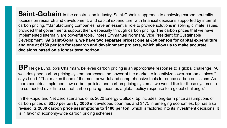Saint-Gobain In the construction industry, Saint-Gobain's approach to achieving carbon neutrality focuses on research and development, and capital expenditure, with financial decisions supported by internal carbon pricing. "Manufacturing companies have an essential role to provide solutions in solving climate issues, provided that governments support them, especially through carbon pricing. The carbon prices that we have implemented internally are powerful tools," notes Emmanuel Normant, Vice President for Sustainable Development. "**At Saint-Gobain, we have two separate prices: one at €50 per ton for capital expenditure and one at €150 per ton for research and development projects, which allow us to make accurate decisions based on a longer term horizon."**

**BP** Helge Lund, bp's Chairman, believes carbon pricing is an appropriate response to a global challenge. "A well-designed carbon pricing system harnesses the power of the market to incentivize lower-carbon choices," says Lund. "That makes it one of the most powerful and comprehensive tools to reduce carbon emissions. As more countries implement low-carbon policies and carbon pricing systems, we would like for these systems to be connected over time so that carbon pricing becomes a global policy response to a global challenge."

In the Rapid and Net Zero scenarios of its 2020 Energy Outlook, bp includes long-term price assumptions of carbon prices of **\$250 per ton by 2050** in developed countries and \$175 in emerging economies. bp has also revised its **2030 carbon price assumptions to \$100 per ton**, which is factored into its investment decisions. It is in favor of economy-wide carbon pricing schemes.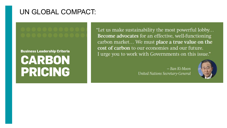### UN GLOBAL COMPACT:

**Business Leadership Criteria** 

CARBON **PRICING**  "Let us make sustainability the most powerful lobby... **Become advocates** for an effective, well-functioning carbon market... We must place a true value on the cost of carbon to our economies and our future. I urge you to work with Governments on this issue."

> - Ban Ki-Moon **United Nations Secretary-General**

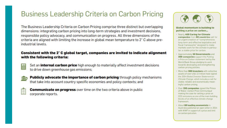### **Business Leadership Criteria on Carbon Pricing**

The Business Leadership Criteria on Carbon Pricing comprise three distinct but overlapping dimensions: integrating carbon pricing into long-term strategies and investment decisions, responsible policy advocacy, and communication on progress. All three dimensions of the criteria are aligned with limiting the increase in global mean temperature to 2°C above preindustrial levels.

#### Consistent with the 2°C global target, companies are invited to indicate alignment with the following criteria:

- A
- Set an **internal carbon price** high enough to materially affect investment decisions to drive down greenhouse gas emissions;



**Publicly advocate the importance of carbon pricing through policy mechanisms** that take into account country specific economies and policy contexts; and

| e. |  |
|----|--|
|    |  |
|    |  |

**Communicate on progress** over time on the two criteria above in public corporate reports.



**Global momentum is building to** putting a price on carbon...

- · Nearly 400 Caring for Climate companies from 60 countries call for an urgent creation of "comprehensive, long-term and effective legislative and fiscal frameworks" designed to make markets work for the climate in particular, a stable price for carbon.
- Approximately 50 Governments and 300 companies support the Putting a Price on Carbon statement led by the World Bank Group pledging to work towards developing and strengthening carbon pricing policies.
- More than 300 investors with collective assets of over USD 22 trillion have signed the 2014 Global Investor Statement on Climate Change, which includes a call for stable, reliable and economically meaningful carbon pricing.
- . Over 150 companies signed the Prince of Wales' Carbon Price Communiqué making the case for setting a price on CO2 emissions as one of the main building blocks of an effective climate change framework.
- About 60 leading economists in Australia published an open letter in 2014 with WWF in support of a price and limit on carbon pollution.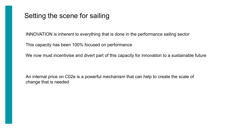### Setting the scene for sailing

INNOVATION is inherent to everything that is done in the performance sailing sector

This capacity has been 100% focused on performance

We now must incentivise and divert part of this capacity for innovation to a sustainable future

An internal price on C02e is a powerful mechanism that can help to create the scale of change that is needed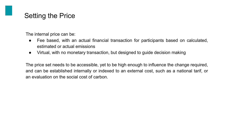### Setting the Price

The internal price can be:

- Fee based, with an actual financial transaction for participants based on calculated, estimated or actual emissions
- Virtual, with no monetary transaction, but designed to guide decision making

The price set needs to be accessible, yet to be high enough to influence the change required, and can be established internally or indexed to an external cost, such as a national tarif, or an evaluation on the social cost of carbon.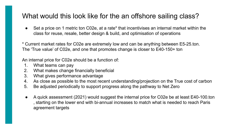### What would this look like for the an offshore sailing class?

● Set a price on 1 metric ton C02e, at a rate\* that incentivises an internal market within the class for reuse, resale, better design & build, and optimisation of operations

\* Current market rates for C02e are extremely low and can be anything between E5-25.ton. The 'True value' of C02e, and one that promotes change is closer to E40-150+ ton

An internal price for C02e should be a function of:

- 1. What teams can pay
- 2. What makes change financially beneficial
- 3. What gives performance advantage
- 4. As close as possible to the most recent understanding/projection on the True cost of carbon
- 5. Be adjusted periodically to support progress along the pathway to Net Zero
- A quick assessment (2021) would suggest the internal price for C02e be at least E40-100.ton , starting on the lower end with bi-annual increases to match what is needed to reach Paris agreement targets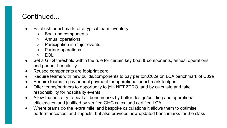### Continued...

- Establish benchmark for a typical team inventory
	- Boat and components
	- Annual operations
	- Participation in major events
	- Partner operations
	- EOL
- Set a GHG threshold within the rule for certain key boat & components, annual operations and partner hospitality
- Reused components are footprint zero
- Require teams with new builds/components to pay per ton.C02e on LCA benchmark of C02e
- Require teams to pay annual payment for operational benchmark footprint
- Offer teams/partners to opportunity to join NET ZERO, and by calculate and take responsibility for hospitality events
- Allow teams to try to beat all benchmarks by better design/building and operational efficiencies, and justified by verified GHG calcs, and certified LCA
- Where teams do the 'extra mile' and bespoke calculations it allows them to optimise performance/cost and impacts, but also provides new updated benchmarks for the class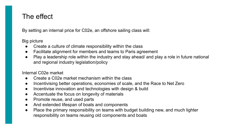### The effect

By setting an internal price for C02e, an offshore sailing class will:

Big picture

- Create a culture of climate responsibility within the class
- Facilitate alignment for members and teams to Paris agreement
- Play a leadership role within the industry and stay ahead/ and play a role in future national and regional industry legislation/policy

Internal C02e market

- Create a C02e market mechanism within the class
- Incentivising better operations, economies of scale, and the Race to Net Zero
- Incentivise innovation and technologies with design & build
- Accentuate the focus on longevity of materials
- Promote reuse, and used parts
- And extended lifespan of boats and components
- Place the primary responsibility on teams with budget building new, and much lighter responsibility on teams reusing old components and boats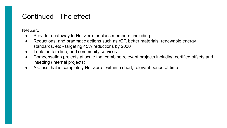### Continued - The effect

Net Zero

- Provide a pathway to Net Zero for class members, including
- Reductions, and pragmatic actions such as rCF, better materials, renewable energy standards, etc - targeting 45% reductions by 2030
- Triple bottom line, and community services
- Compensation projects at scale that combine relevant projects including certified offsets and insetting (internal projects)
- A Class that is completely Net Zero within a short, relevant period of time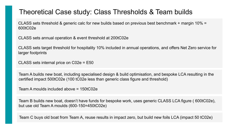### Theoretical Case study: Class Thresholds & Team builds

CLASS sets threshold & generic calc for new builds based on previous best benchmark + margin 10% = 600tC02e

CLASS sets annual operation & event threshold at 200tC02e

CLASS sets target threshold for hospitality 10% included in annual operations, and offers Net Zero service for larger footprints

CLASS sets internal price on C02e = E50

Team A builds new boat, including specialised design & build optimisation, and bespoke LCA resulting in the certified impact 500tC02e (100 tC02e less than generic class figure and threshold)

Team A moulds included above = 150tC02e

Team B builds new boat, doesn't have funds for bespoke work, uses generic CLASS LCA figure ( 600tC02e), but use old Team A moulds (600-150=450tC02e)

Team C buys old boat from Team A, reuse results in impact zero, but build new foils LCA (impact 50 tC02e)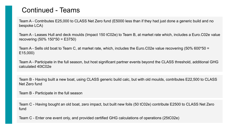### Continued - Teams

Team A - Contributes E25,000 to CLASS Net Zero fund (E5000 less than if they had just done a generic build and no bespoke LCA)

Team A - Leases Hull and deck moulds (Impact 150 tC02e) to Team B, at market rate which, includes a Euro.C02e value recovering (50% 150\*50 = E3750)

Team A - Sells old boat to Team C, at market rate, which, includes the Euro.C02e value recovering (50% 600\*50 = E15,000)

Team A - Participate in the full season, but host significant partner events beyond the CLASS threshold, additional GHG calculated 40tC02e

Team B - Having built a new boat, using CLASS generic build calc, but with old moulds, contributes E22,500 to CLASS Net Zero fund

Team B - Participate in the full season

Team C - Having bought an old boat, zero impact, but built new foils (50 tC02e) contribute E2500 to CLASS Net Zero fund

Team C - Enter one event only, and provided certified GHG calculations of operations (25tC02e)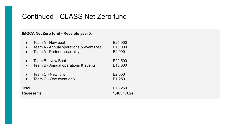### Continued - CLASS Net Zero fund

#### **IMOCA Net Zero fund - Receipts year X**

|                     | Team A - New boat                       | E25,000                |
|---------------------|-----------------------------------------|------------------------|
| $\bullet$           | Team A - Annual operations & events fee | E10,000                |
| $\bullet$           | Team A - Partner hospitality            | E2,000                 |
|                     | Team B - New Boat                       | E22,500                |
|                     | Team B - Annual operations & events     | E10,000                |
|                     | Team C - New foils                      | E2,500                 |
|                     | Team C - One event only                 | E1,250                 |
| Total<br>Represents |                                         | E73,250<br>1,465 tC02e |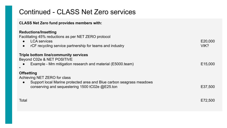### Continued - CLASS Net Zero services

#### **CLASS Net Zero fund provides members with:**

#### **Reductions/Insetting**

Facilitating 45% reductions as per NET ZERO protocol

- LCA services E20,000
- rCF recycling service partnership for teams and industry and industry and industry VIK?

#### **Triple bottom line/community services**

Beyond C02e & NET POSITIVE

Example - Mm mitigation research and material (E5000.team) E15,000

#### \*

#### **Offsetting**

Achieving NET ZERO for class

● Support local Marine protected area and Blue carbon seagrass meadows conserving and sequestering 1500 tC02e @E25.ton E37,500

Total E72,500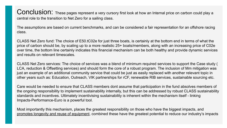Conclusion: These pages represent a very cursory first look at how an Internal price on carbon could play a central role to the transition to Net Zero for a sailing class.

The assumptions are based on current benchmarks, and can be considered a fair representation for an offshore racing class.

CLASS Net Zero fund: The choice of E50.tC02e for just three boats, is certainly at the bottom end in terms of what the price of carbon should be, by scaling up to a more realistic 25+ boats/members, along with an increasing price of C02e over time, the bottom line certainly indicates this financial mechanism can be both healthy and provide dynamic services and results on relevant timescales.

CLASS Net Zero services: The choice of services was a blend of minimum required services to support the Case study ( LCA, reduction & Offsetting services) and should form the core of a robust program. The inclusion of Mm mitigation was just an example of an additional community service that could be just as easily replaced with another relevant topic in other years such as: Education, Outreach, VIK partnerships for rCF, renewable RIB services, sustainable sourcing etc.

Care would be needed to ensure that CLASS members dont assume that participation in the fund absolves members of the ongoing responsibility to implement sustainability internally, but this can be addressed by robust CLASS sustainability standards and incentives. Ultimately incentivising sustainability is inherent within the mechanism itself - linking Impacts-Performance-Euro is a powerful tool.

Most importantly this mechanism, places the greatest responsibility on those who have the biggest impacts, and promotes longevity and reuse of equipment, combined these have the greatest potential to reduce our industry's impacts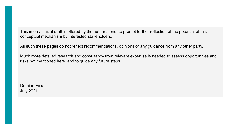This internal initial draft is offered by the author alone, to prompt further reflection of the potential of this conceptual mechanism by interested stakeholders.

As such these pages do not reflect recommendations, opinions or any guidance from any other party.

Much more detailed research and consultancy from relevant expertise is needed to assess opportunities and risks not mentioned here, and to guide any future steps.

Damian Foxall July 2021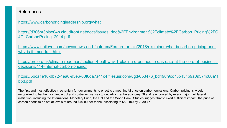#### References

<https://www.carbonpricingleadership.org/what>

[https://d306pr3pise04h.cloudfront.net/docs/issues\\_doc%2FEnvironment%2Fclimate%2FCarbon\\_Pricing%2FC](https://d306pr3pise04h.cloudfront.net/docs/issues_doc%2FEnvironment%2Fclimate%2FCarbon_Pricing%2FC4C_CarbonPricing_2014.pdf) [4C\\_CarbonPricing\\_2014.pdf](https://d306pr3pise04h.cloudfront.net/docs/issues_doc%2FEnvironment%2Fclimate%2FCarbon_Pricing%2FC4C_CarbonPricing_2014.pdf)

[https://www.unilever.com/news/news-and-features/Feature-article/2018/explainer-what-is-carbon-pricing-and](https://www.unilever.com/news/news-and-features/Feature-article/2018/explainer-what-is-carbon-pricing-and-why-is-it-important.html)[why-is-it-important.html](https://www.unilever.com/news/news-and-features/Feature-article/2018/explainer-what-is-carbon-pricing-and-why-is-it-important.html)

[https://brc.org.uk/climate-roadmap/section-4-pathway-1-placing-greenhouse-gas-data-at-the-core-of-business](https://brc.org.uk/climate-roadmap/section-4-pathway-1-placing-greenhouse-gas-data-at-the-core-of-business-decisions/414-internal-carbon-pricing/)[decisions/414-internal-carbon-pricing/](https://brc.org.uk/climate-roadmap/section-4-pathway-1-placing-greenhouse-gas-data-at-the-core-of-business-decisions/414-internal-carbon-pricing/)

[https://56ca1e18-db72-4ea6-95e6-60f6da7a41c4.filesusr.com/ugd/653476\\_bd498f9cc75b451b9a09574c60a1f](https://56ca1e18-db72-4ea6-95e6-60f6da7a41c4.filesusr.com/ugd/653476_bd498f9cc75b451b9a09574c60a1fbbd.pdf) [bbd.pdf](https://56ca1e18-db72-4ea6-95e6-60f6da7a41c4.filesusr.com/ugd/653476_bd498f9cc75b451b9a09574c60a1fbbd.pdf)

The first and most effective mechanism for governments to enact is a meaningful price on carbon emissions. Carbon pricing is widely recognized to be the most impactful and cost-effective way to decarbonize the economy 76 and is endorsed by every major multilateral institution, including the International Monetary Fund, the UN and the World Bank. Studies suggest that to exert sufficient impact, the price of carbon needs to be set at levels of around \$40-80 per tonne, escalating to \$50-100 by 2030.77